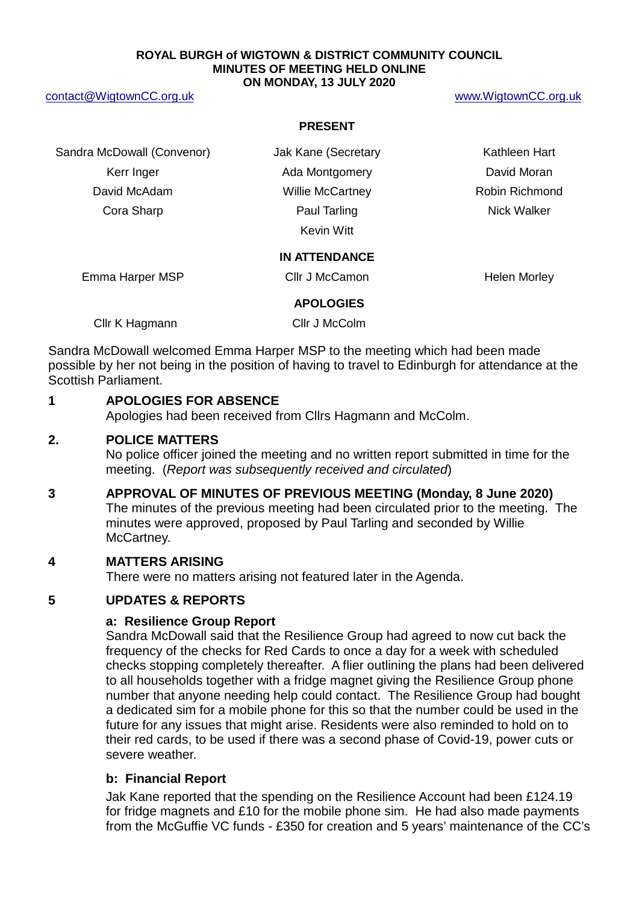#### **ROYAL BURGH of WIGTOWN & DISTRICT COMMUNITY COUNCIL MINUTES OF MEETING HELD ONLINE ON MONDAY, 13 JULY 2020**

#### [contact@WigtownCC.org.uk](mailto:contact@WigtownCC.org.uk) [www.WigtownCC.org.uk](http://www.wigtowncc.org.uk/)

#### **PRESENT**

Sandra McDowall (Convenor) **Jak Kane (Secretary Kathleen Hart** Kerr Inger **Ada Montgomery Containers** David Moran David McAdam **Millie McCartney Robin Richmond Cora Sharp Cora Sharp Paul Tarling Cora Sharp Paul Tarling Cora Sharp Paul Tarling Cora Sharp Paul Tarling Cora Sharp Paul Tarling Cora Sharp Paul Tarling Cora Sharp Paul Tarling Cora Sharp Paul Tarling Cora Sharp Paul Ta** 

Kevin Witt

## **IN ATTENDANCE**

Emma Harper MSP Cllr J McCamon Nelen Morley

#### **APOLOGIES**

Cllr K Hagmann Cllr J McColm

Sandra McDowall welcomed Emma Harper MSP to the meeting which had been made possible by her not being in the position of having to travel to Edinburgh for attendance at the Scottish Parliament.

# **1 APOLOGIES FOR ABSENCE**

Apologies had been received from Cllrs Hagmann and McColm.

## **2. POLICE MATTERS**

No police officer joined the meeting and no written report submitted in time for the meeting. (*Report was subsequently received and circulated*)

# **3 APPROVAL OF MINUTES OF PREVIOUS MEETING (Monday, 8 June 2020)**

The minutes of the previous meeting had been circulated prior to the meeting. The minutes were approved, proposed by Paul Tarling and seconded by Willie McCartney.

# **4 MATTERS ARISING**

There were no matters arising not featured later in the Agenda.

# **5 UPDATES & REPORTS**

## **a: Resilience Group Report**

Sandra McDowall said that the Resilience Group had agreed to now cut back the frequency of the checks for Red Cards to once a day for a week with scheduled checks stopping completely thereafter. A flier outlining the plans had been delivered to all households together with a fridge magnet giving the Resilience Group phone number that anyone needing help could contact. The Resilience Group had bought a dedicated sim for a mobile phone for this so that the number could be used in the future for any issues that might arise. Residents were also reminded to hold on to their red cards, to be used if there was a second phase of Covid-19, power cuts or severe weather.

# **b: Financial Report**

Jak Kane reported that the spending on the Resilience Account had been £124.19 for fridge magnets and £10 for the mobile phone sim. He had also made payments from the McGuffie VC funds - £350 for creation and 5 years' maintenance of the CC's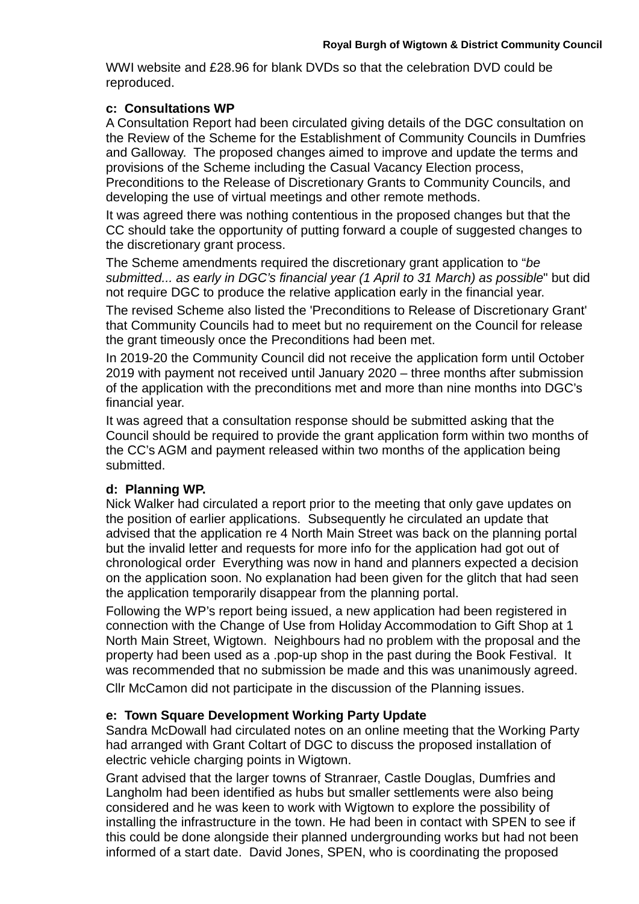WWI website and £28.96 for blank DVDs so that the celebration DVD could be reproduced.

# **c: Consultations WP**

A Consultation Report had been circulated giving details of the DGC consultation on the Review of the Scheme for the Establishment of Community Councils in Dumfries and Galloway. The proposed changes aimed to improve and update the terms and provisions of the Scheme including the Casual Vacancy Election process, Preconditions to the Release of Discretionary Grants to Community Councils, and

developing the use of virtual meetings and other remote methods.

It was agreed there was nothing contentious in the proposed changes but that the CC should take the opportunity of putting forward a couple of suggested changes to the discretionary grant process.

The Scheme amendments required the discretionary grant application to "*be submitted... as early in DGC's financial year (1 April to 31 March) as possible*" but did not require DGC to produce the relative application early in the financial year.

The revised Scheme also listed the 'Preconditions to Release of Discretionary Grant' that Community Councils had to meet but no requirement on the Council for release the grant timeously once the Preconditions had been met.

In 2019-20 the Community Council did not receive the application form until October 2019 with payment not received until January 2020 – three months after submission of the application with the preconditions met and more than nine months into DGC's financial year.

It was agreed that a consultation response should be submitted asking that the Council should be required to provide the grant application form within two months of the CC's AGM and payment released within two months of the application being submitted.

# **d: Planning WP.**

Nick Walker had circulated a report prior to the meeting that only gave updates on the position of earlier applications. Subsequently he circulated an update that advised that the application re 4 North Main Street was back on the planning portal but the invalid letter and requests for more info for the application had got out of chronological order Everything was now in hand and planners expected a decision on the application soon. No explanation had been given for the glitch that had seen the application temporarily disappear from the planning portal.

Following the WP's report being issued, a new application had been registered in connection with the Change of Use from Holiday Accommodation to Gift Shop at 1 North Main Street, Wigtown. Neighbours had no problem with the proposal and the property had been used as a .pop-up shop in the past during the Book Festival. It was recommended that no submission be made and this was unanimously agreed. Cllr McCamon did not participate in the discussion of the Planning issues.

# **e: Town Square Development Working Party Update**

Sandra McDowall had circulated notes on an online meeting that the Working Party had arranged with Grant Coltart of DGC to discuss the proposed installation of electric vehicle charging points in Wigtown.

Grant advised that the larger towns of Stranraer, Castle Douglas, Dumfries and Langholm had been identified as hubs but smaller settlements were also being considered and he was keen to work with Wigtown to explore the possibility of installing the infrastructure in the town. He had been in contact with SPEN to see if this could be done alongside their planned undergrounding works but had not been informed of a start date. David Jones, SPEN, who is coordinating the proposed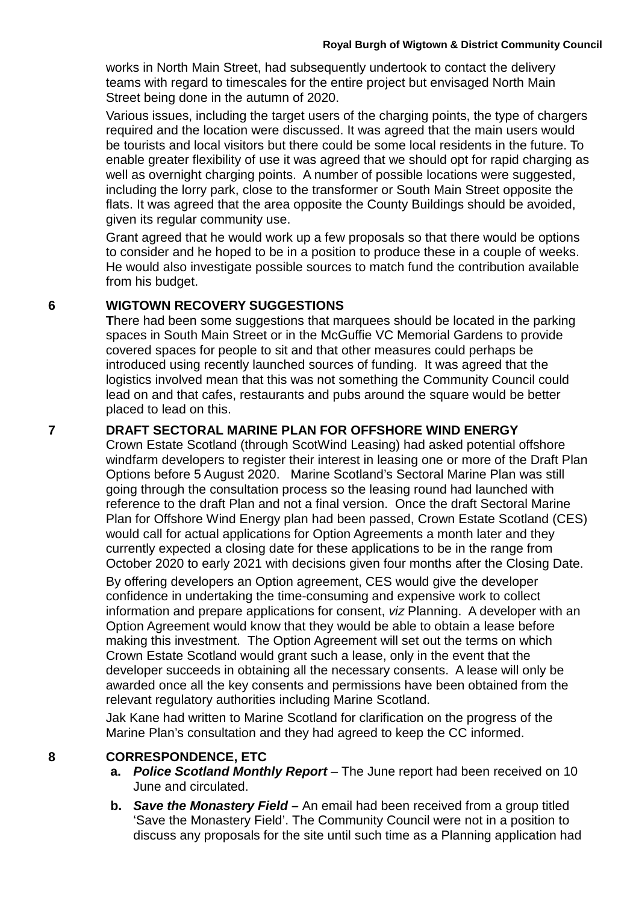works in North Main Street, had subsequently undertook to contact the delivery teams with regard to timescales for the entire project but envisaged North Main Street being done in the autumn of 2020.

Various issues, including the target users of the charging points, the type of chargers required and the location were discussed. It was agreed that the main users would be tourists and local visitors but there could be some local residents in the future. To enable greater flexibility of use it was agreed that we should opt for rapid charging as well as overnight charging points. A number of possible locations were suggested, including the lorry park, close to the transformer or South Main Street opposite the flats. It was agreed that the area opposite the County Buildings should be avoided, given its regular community use.

Grant agreed that he would work up a few proposals so that there would be options to consider and he hoped to be in a position to produce these in a couple of weeks. He would also investigate possible sources to match fund the contribution available from his budget.

# **6 WIGTOWN RECOVERY SUGGESTIONS**

**T**here had been some suggestions that marquees should be located in the parking spaces in South Main Street or in the McGuffie VC Memorial Gardens to provide covered spaces for people to sit and that other measures could perhaps be introduced using recently launched sources of funding. It was agreed that the logistics involved mean that this was not something the Community Council could lead on and that cafes, restaurants and pubs around the square would be better placed to lead on this.

# **7 DRAFT SECTORAL MARINE PLAN FOR OFFSHORE WIND ENERGY**

Crown Estate Scotland (through ScotWind Leasing) had asked potential offshore windfarm developers to register their interest in leasing one or more of the Draft Plan Options before 5 August 2020. Marine Scotland's Sectoral Marine Plan was still going through the consultation process so the leasing round had launched with reference to the draft Plan and not a final version. Once the draft Sectoral Marine Plan for Offshore Wind Energy plan had been passed, Crown Estate Scotland (CES) would call for actual applications for Option Agreements a month later and they currently expected a closing date for these applications to be in the range from October 2020 to early 2021 with decisions given four months after the Closing Date.

By offering developers an Option agreement, CES would give the developer confidence in undertaking the time-consuming and expensive work to collect information and prepare applications for consent, *viz* Planning. A developer with an Option Agreement would know that they would be able to obtain a lease before making this investment. The Option Agreement will set out the terms on which Crown Estate Scotland would grant such a lease, only in the event that the developer succeeds in obtaining all the necessary consents. A lease will only be awarded once all the key consents and permissions have been obtained from the relevant regulatory authorities including Marine Scotland.

Jak Kane had written to Marine Scotland for clarification on the progress of the Marine Plan's consultation and they had agreed to keep the CC informed.

# **8 CORRESPONDENCE, ETC**

- **a.** *Police Scotland Monthly Report* The June report had been received on 10 June and circulated.
- **b.** *Save the Monastery Field –* An email had been received from a group titled 'Save the Monastery Field'. The Community Council were not in a position to discuss any proposals for the site until such time as a Planning application had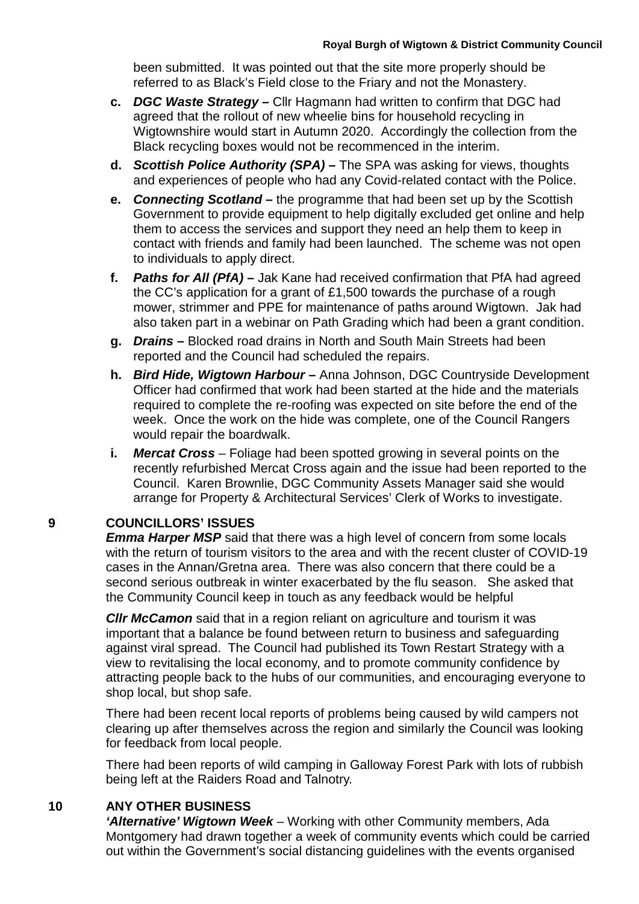been submitted. It was pointed out that the site more properly should be referred to as Black's Field close to the Friary and not the Monastery.

- **c.** *DGC Waste Strategy –* Cllr Hagmann had written to confirm that DGC had agreed that the rollout of new wheelie bins for household recycling in Wigtownshire would start in Autumn 2020. Accordingly the collection from the Black recycling boxes would not be recommenced in the interim.
- **d.** *Scottish Police Authority (SPA) –* The SPA was asking for views, thoughts and experiences of people who had any Covid-related contact with the Police.
- **e.** *Connecting Scotland –* the programme that had been set up by the Scottish Government to provide equipment to help digitally excluded get online and help them to access the services and support they need an help them to keep in contact with friends and family had been launched. The scheme was not open to individuals to apply direct.
- **f.** *Paths for All (PfA) –* Jak Kane had received confirmation that PfA had agreed the CC's application for a grant of £1,500 towards the purchase of a rough mower, strimmer and PPE for maintenance of paths around Wigtown. Jak had also taken part in a webinar on Path Grading which had been a grant condition.
- **g.** *Drains –* Blocked road drains in North and South Main Streets had been reported and the Council had scheduled the repairs.
- **h.** *Bird Hide, Wigtown Harbour –* Anna Johnson, DGC Countryside Development Officer had confirmed that work had been started at the hide and the materials required to complete the re-roofing was expected on site before the end of the week. Once the work on the hide was complete, one of the Council Rangers would repair the boardwalk.
- **i.** *Mercat Cross*  Foliage had been spotted growing in several points on the recently refurbished Mercat Cross again and the issue had been reported to the Council. Karen Brownlie, DGC Community Assets Manager said she would arrange for Property & Architectural Services' Clerk of Works to investigate.

# **9 COUNCILLORS' ISSUES**

*Emma Harper MSP* said that there was a high level of concern from some locals with the return of tourism visitors to the area and with the recent cluster of COVID-19 cases in the Annan/Gretna area. There was also concern that there could be a second serious outbreak in winter exacerbated by the flu season. She asked that the Community Council keep in touch as any feedback would be helpful

*Cllr McCamon* said that in a region reliant on agriculture and tourism it was important that a balance be found between return to business and safeguarding against viral spread. The Council had published its Town Restart Strategy with a view to revitalising the local economy, and to promote community confidence by attracting people back to the hubs of our communities, and encouraging everyone to shop local, but shop safe.

There had been recent local reports of problems being caused by wild campers not clearing up after themselves across the region and similarly the Council was looking for feedback from local people.

There had been reports of wild camping in Galloway Forest Park with lots of rubbish being left at the Raiders Road and Talnotry.

# **10 ANY OTHER BUSINESS**

*'Alternative' Wigtown Week* – Working with other Community members, Ada Montgomery had drawn together a week of community events which could be carried out within the Government's social distancing guidelines with the events organised